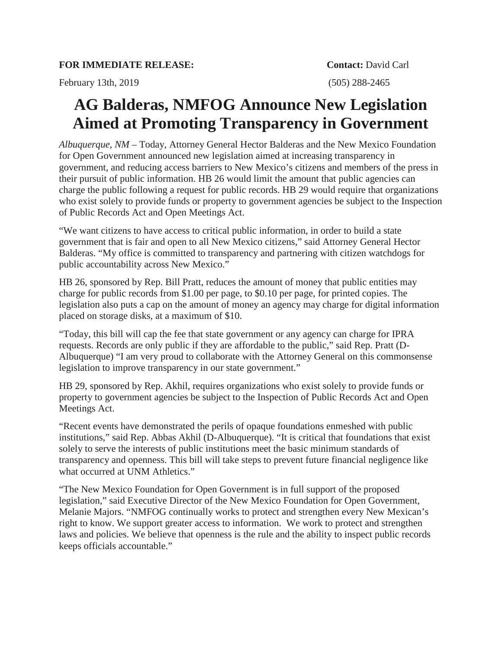February 13th, 2019 (505) 288-2465

## **AG Balderas, NMFOG Announce New Legislation Aimed at Promoting Transparency in Government**

*Albuquerque, NM* – Today, Attorney General Hector Balderas and the New Mexico Foundation for Open Government announced new legislation aimed at increasing transparency in government, and reducing access barriers to New Mexico's citizens and members of the press in their pursuit of public information. HB 26 would limit the amount that public agencies can charge the public following a request for public records. HB 29 would require that organizations who exist solely to provide funds or property to government agencies be subject to the Inspection of Public Records Act and Open Meetings Act.

"We want citizens to have access to critical public information, in order to build a state government that is fair and open to all New Mexico citizens," said Attorney General Hector Balderas. "My office is committed to transparency and partnering with citizen watchdogs for public accountability across New Mexico."

HB 26, sponsored by Rep. Bill Pratt, reduces the amount of money that public entities may charge for public records from \$1.00 per page, to \$0.10 per page, for printed copies. The legislation also puts a cap on the amount of money an agency may charge for digital information placed on storage disks, at a maximum of \$10.

"Today, this bill will cap the fee that state government or any agency can charge for IPRA requests. Records are only public if they are affordable to the public," said Rep. Pratt (D-Albuquerque) "I am very proud to collaborate with the Attorney General on this commonsense legislation to improve transparency in our state government."

HB 29, sponsored by Rep. Akhil, requires organizations who exist solely to provide funds or property to government agencies be subject to the Inspection of Public Records Act and Open Meetings Act.

"Recent events have demonstrated the perils of opaque foundations enmeshed with public institutions," said Rep. Abbas Akhil (D-Albuquerque). "It is critical that foundations that exist solely to serve the interests of public institutions meet the basic minimum standards of transparency and openness. This bill will take steps to prevent future financial negligence like what occurred at UNM Athletics."

"The New Mexico Foundation for Open Government is in full support of the proposed legislation," said Executive Director of the New Mexico Foundation for Open Government, Melanie Majors. "NMFOG continually works to protect and strengthen every New Mexican's right to know. We support greater access to information. We work to protect and strengthen laws and policies. We believe that openness is the rule and the ability to inspect public records keeps officials accountable."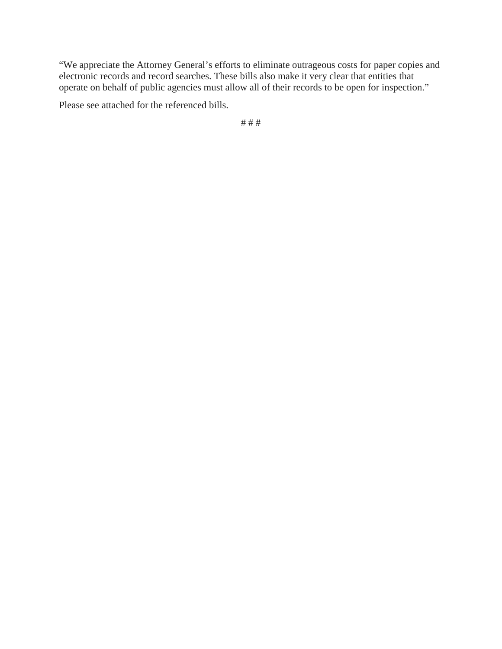"We appreciate the Attorney General's efforts to eliminate outrageous costs for paper copies and electronic records and record searches. These bills also make it very clear that entities that operate on behalf of public agencies must allow all of their records to be open for inspection."

Please see attached for the referenced bills.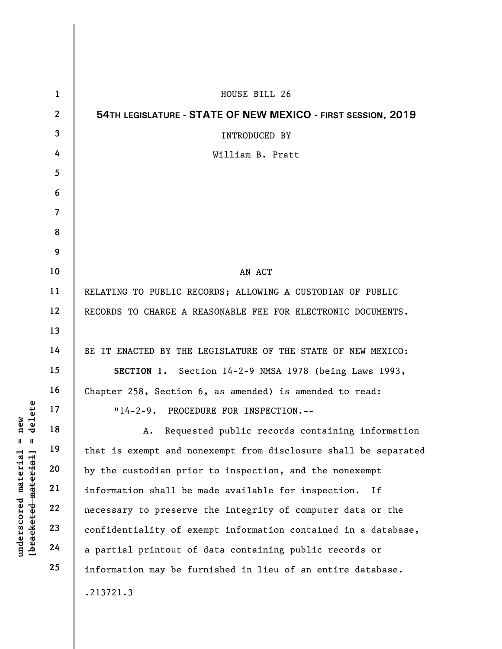| $\mathbf 1$    | HOUSE BILL 26                                                   |
|----------------|-----------------------------------------------------------------|
| $\mathbf{2}$   | 54TH LEGISLATURE - STATE OF NEW MEXICO - FIRST SESSION, 2019    |
| 3              | INTRODUCED BY                                                   |
| 4              | William B. Pratt                                                |
| 5              |                                                                 |
| 6              |                                                                 |
| $\overline{7}$ |                                                                 |
| 8              |                                                                 |
| 9              |                                                                 |
| 10             | AN ACT                                                          |
| 11             | RELATING TO PUBLIC RECORDS; ALLOWING A CUSTODIAN OF PUBLIC      |
| 12             | RECORDS TO CHARGE A REASONABLE FEE FOR ELECTRONIC DOCUMENTS.    |
| 13             |                                                                 |
| 14             | BE IT ENACTED BY THE LEGISLATURE OF THE STATE OF NEW MEXICO:    |
| 15             | SECTION 1. Section 14-2-9 NMSA 1978 (being Laws 1993,           |
| 16             | Chapter 258, Section 6, as amended) is amended to read:         |
| 17             | "14-2-9. PROCEDURE FOR INSPECTION.--                            |
| 18             | A. Requested public records containing information              |
| 19             | that is exempt and nonexempt from disclosure shall be separated |
| 20             | by the custodian prior to inspection, and the nonexempt         |
| 21             | information shall be made available for inspection.<br>If       |
| 22             | necessary to preserve the integrity of computer data or the     |
| 23             | confidentiality of exempt information contained in a database,  |
| 24             | a partial printout of data containing public records or         |
| 25             | information may be furnished in lieu of an entire database.     |
|                | .213721.3                                                       |
|                |                                                                 |

 $[**bracket** etc.**eted** meter $at$ ]. = delete$ **[bracketed material] = delete**  $underscored material = new$ **underscored material = new**

 $\overline{\phantom{a}}$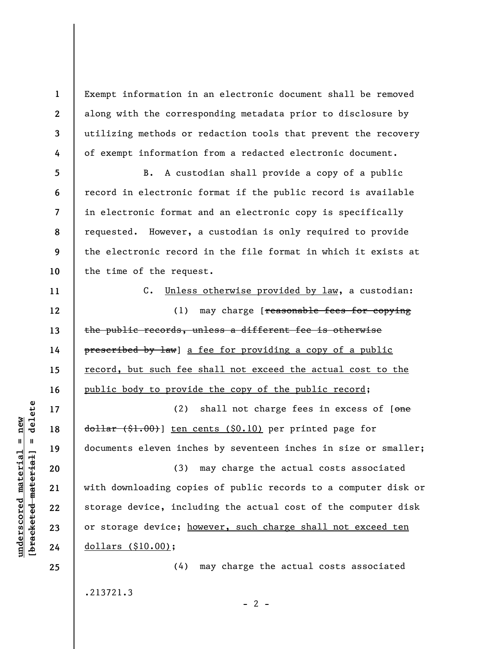Exempt information in an electronic document shall be removed along with the corresponding metadata prior to disclosure by utilizing methods or redaction tools that prevent the recovery of exempt information from a redacted electronic document.

**5 6 7 8 9 10**  B. A custodian shall provide a copy of a public record in electronic format if the public record is available in electronic format and an electronic copy is specifically requested. However, a custodian is only required to provide the electronic record in the file format in which it exists at the time of the request.

C. Unless otherwise provided by law, a custodian: (1) may charge [reasonable fees for copying the public records, unless a different fee is otherwise prescribed by law] a fee for providing a copy of a public record, but such fee shall not exceed the actual cost to the public body to provide the copy of the public record;

(2) shall not charge fees in excess of  $[*one*]$ dollar (\$1.00)] ten cents (\$0.10) per printed page for documents eleven inches by seventeen inches in size or smaller;

(3) may charge the actual costs associated with downloading copies of public records to a computer disk or storage device, including the actual cost of the computer disk or storage device; however, such charge shall not exceed ten dollars (\$10.00);

.213721.3

 $- 2 -$ 

(4) may charge the actual costs associated

 $\frac{1}{2}$  intereted material = delete **[bracketed material] = delete**  $anderscored material = new$ **underscored material = new**

**1** 

**2** 

**3** 

**4** 

**11** 

**12** 

**13** 

**14** 

**15** 

**16** 

**17** 

**18** 

**19** 

**20** 

**21** 

**22** 

**23** 

**24** 

**25**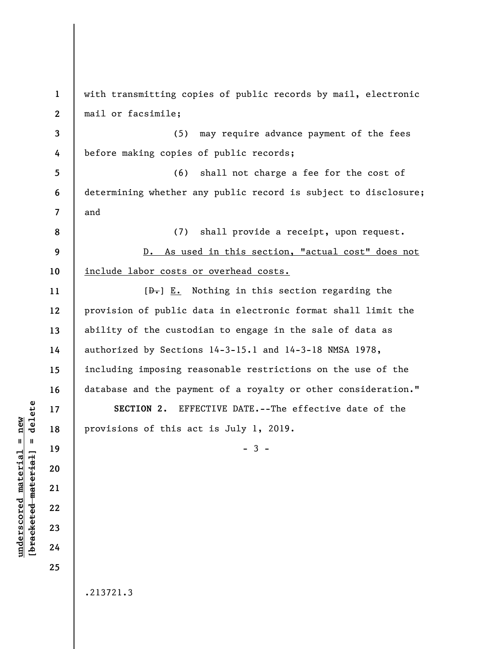**1 2 3 4 5 6 7 8 9 10 11 12 13 14 15 16 17 18 19 20 21 22 23 24 25**  with transmitting copies of public records by mail, electronic mail or facsimile; (5) may require advance payment of the fees before making copies of public records; (6) shall not charge a fee for the cost of determining whether any public record is subject to disclosure; and (7) shall provide a receipt, upon request. D. As used in this section, "actual cost" does not include labor costs or overhead costs.  $[\frac{D-1}{2}]$  E. Nothing in this section regarding the provision of public data in electronic format shall limit the ability of the custodian to engage in the sale of data as authorized by Sections 14-3-15.1 and 14-3-18 NMSA 1978, including imposing reasonable restrictions on the use of the database and the payment of a royalty or other consideration." **SECTION 2.** EFFECTIVE DATE.--The effective date of the provisions of this act is July 1, 2019.  $-3 -$ .213721.3

**underscored material = new [bracketed material] = delete**

 $\frac{1}{2}$  intereted material = delete  $underscored material = new$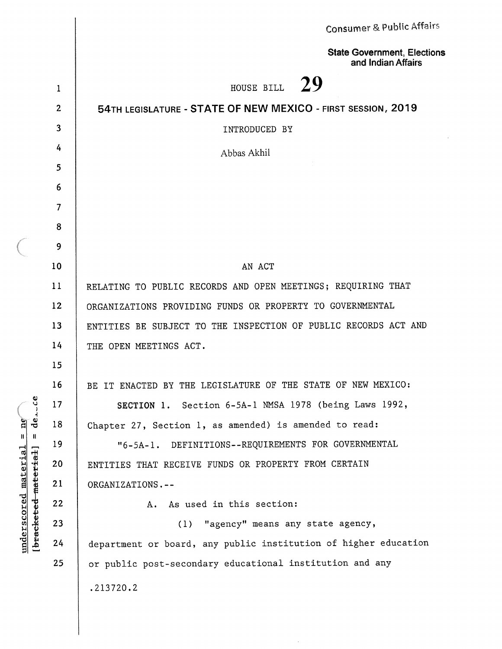|                                                                                                                      |                | Consumer & Public Affairs                                       |
|----------------------------------------------------------------------------------------------------------------------|----------------|-----------------------------------------------------------------|
|                                                                                                                      |                | <b>State Government, Elections</b><br>and Indian Affairs        |
|                                                                                                                      | 1              | -29<br>HOUSE BILL                                               |
|                                                                                                                      | $\overline{2}$ | 54TH LEGISLATURE - STATE OF NEW MEXICO - FIRST SESSION, 2019    |
|                                                                                                                      | $\mathbf{3}$   | INTRODUCED BY                                                   |
|                                                                                                                      | 4              | Abbas Akhil                                                     |
|                                                                                                                      | 5              |                                                                 |
|                                                                                                                      | 6              |                                                                 |
|                                                                                                                      | $\overline{7}$ |                                                                 |
|                                                                                                                      | 8              |                                                                 |
|                                                                                                                      | 9              |                                                                 |
|                                                                                                                      | 10             | AN ACT                                                          |
|                                                                                                                      | 11             | RELATING TO PUBLIC RECORDS AND OPEN MEETINGS; REQUIRING THAT    |
|                                                                                                                      | 12             | ORGANIZATIONS PROVIDING FUNDS OR PROPERTY TO GOVERNMENTAL       |
|                                                                                                                      | 13             | ENTITIES BE SUBJECT TO THE INSPECTION OF PUBLIC RECORDS ACT AND |
|                                                                                                                      | 14             | THE OPEN MEETINGS ACT.                                          |
|                                                                                                                      | 15             |                                                                 |
| Ü<br>ಕೆ<br>$\mathbf{p}$<br>$\mathbf{H}$<br>$\mathbf{H}$<br>underscored material<br>[ <del>bracketed material</del> ] | 16             | BE IT ENACTED BY THE LEGISLATURE OF THE STATE OF NEW MEXICO:    |
|                                                                                                                      | 17             | SECTION 1. Section 6-5A-1 NMSA 1978 (being Laws 1992,           |
|                                                                                                                      | 18             | Chapter 27, Section 1, as amended) is amended to read:          |
|                                                                                                                      | 19             | DEFINITIONS--REQUIREMENTS FOR GOVERNMENTAL<br>$"6 - 5A - 1.$    |
|                                                                                                                      | 20             | ENTITIES THAT RECEIVE FUNDS OR PROPERTY FROM CERTAIN            |
|                                                                                                                      | 21             | ORGANIZATIONS.--                                                |
|                                                                                                                      | 22             | As used in this section:<br>Α.                                  |
|                                                                                                                      | 23             | "agency" means any state agency,<br>(1)                         |
|                                                                                                                      | 24             | department or board, any public institution of higher education |
|                                                                                                                      | 25             | or public post-secondary educational institution and any        |
|                                                                                                                      |                | .213720.2                                                       |
|                                                                                                                      |                |                                                                 |

 $\frac{1}{2}$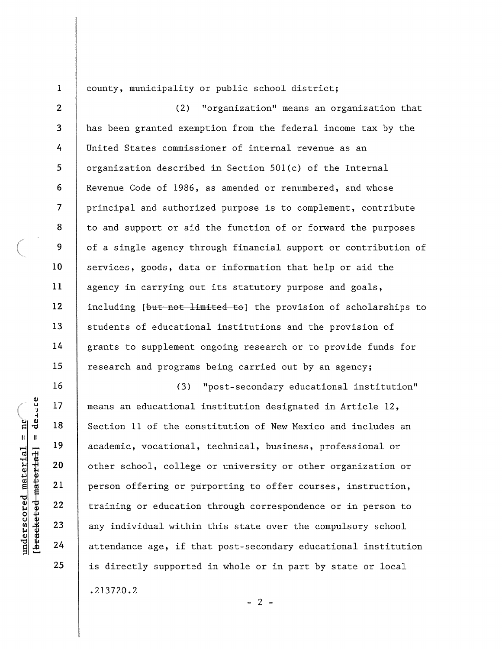1  $\overline{2}$ 

3

4

5

6

 $\overline{7}$ 

8

9

10

11

 $12$ 

13

14

15

16

17

18

19

20

21

22

23

24

25

## county, municipality or public school district;

"organization" means an organization that  $(2)$ has been granted exemption from the federal income tax by the United States commissioner of internal revenue as an organization described in Section 501(c) of the Internal Revenue Code of 1986, as amended or renumbered, and whose principal and authorized purpose is to complement, contribute to and support or aid the function of or forward the purposes of a single agency through financial support or contribution of services, goods, data or information that help or aid the agency in carrying out its statutory purpose and goals, including [but not limited to] the provision of scholarships to students of educational institutions and the provision of grants to supplement ongoing research or to provide funds for research and programs being carried out by an agency;

"post-secondary educational institution"  $(3)$ means an educational institution designated in Article 12, Section 11 of the constitution of New Mexico and includes an academic, vocational, technical, business, professional or other school, college or university or other organization or person offering or purporting to offer courses, instruction, training or education through correspondence or in person to any individual within this state over the compulsory school attendance age, if that post-secondary educational institution is directly supported in whole or in part by state or local  $.213720.2$  $-2 -$ 

 $\frac{1}{2}$ bracketed material] = derece underscored material =  $ne'$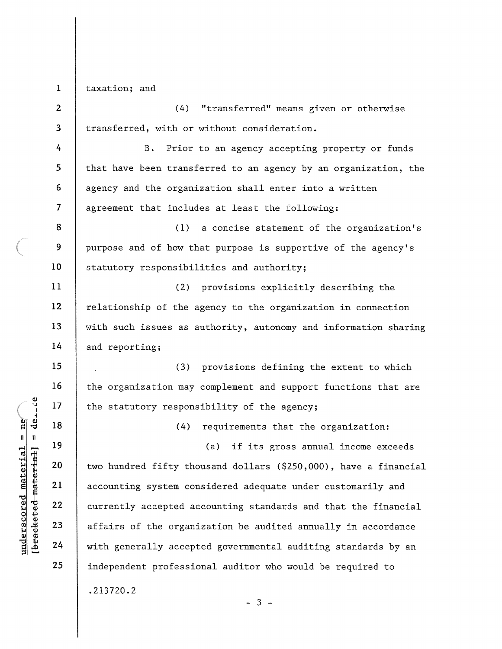$\mathbf{1}$ taxation; and

 $\overline{2}$  $(4)$ "transferred" means given or otherwise transferred, with or without consideration. 3 4  $B.$ Prior to an agency accepting property or funds that have been transferred to an agency by an organization, the 5 6 agency and the organization shall enter into a written  $\overline{7}$ agreement that includes at least the following: 8 (1) a concise statement of the organization's 9 purpose and of how that purpose is supportive of the agency's 10 statutory responsibilities and authority; 11 (2) provisions explicitly describing the  $12$ relationship of the agency to the organization in connection 13 with such issues as authority, autonomy and information sharing 14 and reporting; 15 (3) provisions defining the extent to which 16 the organization may complement and support functions that are 17 the statutory responsibility of the agency; 18 requirements that the organization:  $(4)$ 19 if its gross annual income exceeds  $(a)$ 20 two hundred fifty thousand dollars (\$250,000), have a financial 21 accounting system considered adequate under customarily and 22 currently accepted accounting standards and that the financial 23 affairs of the organization be audited annually in accordance 24 with generally accepted governmental auditing standards by an 25 independent professional auditor who would be required to  $.213720.2$  $-3 -$ 

 $\frac{1}{2}$ bracketet-material] = derote  $underscored$  material =  $ne'$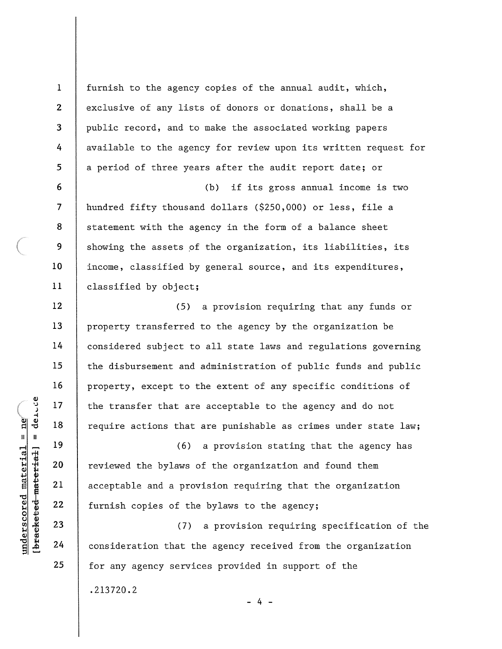furnish to the agency copies of the annual audit, which, exclusive of any lists of donors or donations, shall be a public record, and to make the associated working papers available to the agency for review upon its written request for a period of three years after the audit report date; or if its gross annual income is two  $(b)$ hundred fifty thousand dollars (\$250,000) or less, file a statement with the agency in the form of a balance sheet showing the assets of the organization, its liabilities, its income, classified by general source, and its expenditures,

(5) a provision requiring that any funds or property transferred to the agency by the organization be considered subject to all state laws and regulations governing the disbursement and administration of public funds and public property, except to the extent of any specific conditions of the transfer that are acceptable to the agency and do not require actions that are punishable as crimes under state law;

 $(6)$ a provision stating that the agency has reviewed the bylaws of the organization and found them acceptable and a provision requiring that the organization furnish copies of the bylaws to the agency;

 $(7)$ a provision requiring specification of the consideration that the agency received from the organization for any agency services provided in support of the .213720.2  $-4 -$ 

 $[breaketed$  material = derice  $underscored material = ne<sup>2</sup>$ 

23 24

25

 $\mathbf{1}$ 

 $\overline{2}$ 

3

4

5

6

 $\overline{7}$ 

8

9

10

 $11$ 

12

13

 $14$ 

15

16

 $17$ 

18

19

20

21

22

classified by object;